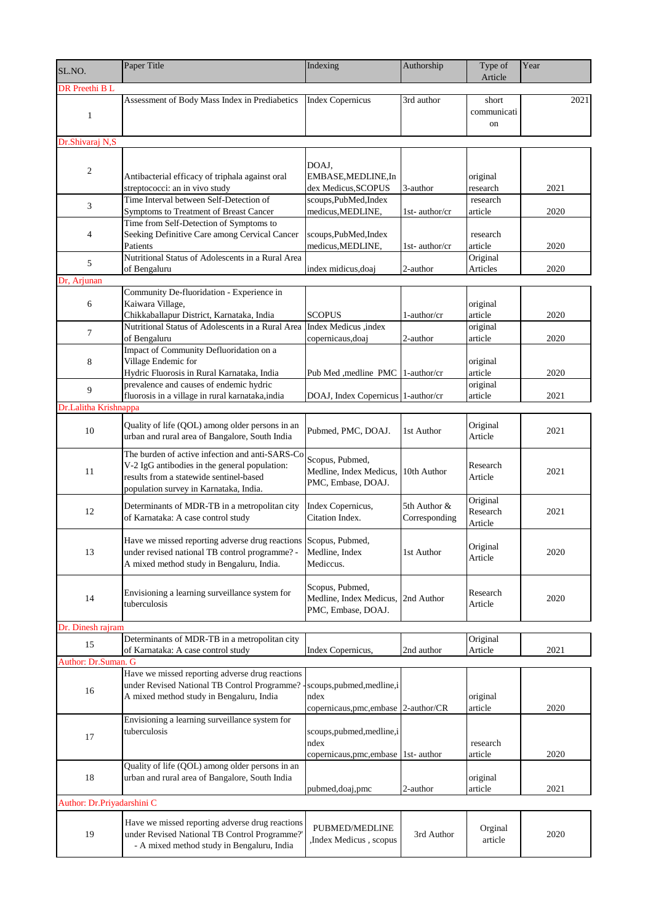| SL.NO.                     | Paper Title                                                                                                                                                                           | Indexing                                                                     | Authorship                    | Type of<br>Article              | Year |
|----------------------------|---------------------------------------------------------------------------------------------------------------------------------------------------------------------------------------|------------------------------------------------------------------------------|-------------------------------|---------------------------------|------|
| DR Preethi B L             |                                                                                                                                                                                       |                                                                              |                               |                                 |      |
| 1                          | Assessment of Body Mass Index in Prediabetics                                                                                                                                         | <b>Index Copernicus</b>                                                      | 3rd author                    | short<br>communicati<br>on      | 2021 |
| Dr.Shivaraj N,S            |                                                                                                                                                                                       |                                                                              |                               |                                 |      |
| 2                          | Antibacterial efficacy of triphala against oral<br>streptococci: an in vivo study                                                                                                     | DOAJ,<br>EMBASE, MEDLINE, In<br>dex Medicus, SCOPUS                          | 3-author                      | original<br>research            | 2021 |
| 3                          | Time Interval between Self-Detection of<br>Symptoms to Treatment of Breast Cancer                                                                                                     | scoups, PubMed, Index<br>medicus, MEDLINE,                                   | 1st-author/ $cr$              | research<br>article             | 2020 |
| $\overline{4}$             | Time from Self-Detection of Symptoms to<br>Seeking Definitive Care among Cervical Cancer<br>Patients<br>Nutritional Status of Adolescents in a Rural Area                             | scoups, PubMed, Index<br>medicus, MEDLINE,                                   | 1st-author/cr                 | research<br>article<br>Original | 2020 |
| 5                          | of Bengaluru                                                                                                                                                                          | index midicus, doaj                                                          | 2-author                      | Articles                        | 2020 |
| Dr, Arjunan                |                                                                                                                                                                                       |                                                                              |                               |                                 |      |
| 6                          | Community De-fluoridation - Experience in<br>Kaiwara Village,<br>Chikkaballapur District, Karnataka, India<br>Nutritional Status of Adolescents in a Rural Area                       | <b>SCOPUS</b><br>Index Medicus ,index                                        | $1$ -author/cr                | original<br>article<br>original | 2020 |
| 7                          | of Bengaluru                                                                                                                                                                          | copernicaus, doaj                                                            | 2-author                      | article                         | 2020 |
| 8                          | Impact of Community Defluoridation on a<br>Village Endemic for<br>Hydric Fluorosis in Rural Karnataka, India                                                                          | Pub Med , medline PMC 1-author/cr                                            |                               | original<br>article             | 2020 |
| 9                          | prevalence and causes of endemic hydric<br>fluorosis in a village in rural karnataka, india                                                                                           | DOAJ, Index Copernicus 1-author/cr                                           |                               | original<br>article             | 2021 |
| Dr.Lalitha Krishnappa      |                                                                                                                                                                                       |                                                                              |                               |                                 |      |
| 10                         | Quality of life (QOL) among older persons in an<br>urban and rural area of Bangalore, South India                                                                                     | Pubmed, PMC, DOAJ.                                                           | 1st Author                    | Original<br>Article             | 2021 |
| 11                         | The burden of active infection and anti-SARS-Co<br>V-2 IgG antibodies in the general population:<br>results from a statewide sentinel-based<br>population survey in Karnataka, India. | Scopus, Pubmed,<br>Medline, Index Medicus, 10th Author<br>PMC, Embase, DOAJ. |                               | Research<br>Article             | 2021 |
| 12                         | Determinants of MDR-TB in a metropolitan city<br>of Karnataka: A case control study                                                                                                   | Index Copernicus,<br>Citation Index.                                         | 5th Author &<br>Corresponding | Original<br>Research<br>Article | 2021 |
| 13                         | Have we missed reporting adverse drug reactions Scopus, Pubmed,<br>under revised national TB control programme? -<br>A mixed method study in Bengaluru, India.                        | Medline, Index<br>Mediccus.                                                  | 1st Author                    | Original<br>Article             | 2020 |
| 14                         | Envisioning a learning surveillance system for<br>tuberculosis                                                                                                                        | Scopus, Pubmed,<br>Medline, Index Medicus, 2nd Author<br>PMC, Embase, DOAJ.  |                               | Research<br>Article             | 2020 |
| Dr. Dinesh rajram          |                                                                                                                                                                                       |                                                                              |                               |                                 |      |
| 15                         | Determinants of MDR-TB in a metropolitan city<br>of Karnataka: A case control study                                                                                                   | Index Copernicus,                                                            | 2nd author                    | Original<br>Article             | 2021 |
| Author: Dr.Suman. G        |                                                                                                                                                                                       |                                                                              |                               |                                 |      |
| 16                         | Have we missed reporting adverse drug reactions<br>under Revised National TB Control Programme?<br>A mixed method study in Bengaluru, India                                           | scoups, pubmed, medline, i<br>ndex<br>copernicaus,pmc,embase 2-author/CR     |                               | original<br>article             | 2020 |
| 17                         | Envisioning a learning surveillance system for<br>tuberculosis                                                                                                                        | scoups, pubmed, medline, i<br>ndex<br>copernicaus, pmc, embase 1st- author   |                               | research<br>article             | 2020 |
| 18                         | Quality of life (QOL) among older persons in an<br>urban and rural area of Bangalore, South India                                                                                     | pubmed, doaj, pmc                                                            | 2-author                      | original<br>article             | 2021 |
| Author: Dr.Priyadarshini C |                                                                                                                                                                                       |                                                                              |                               |                                 |      |
| 19                         | Have we missed reporting adverse drug reactions<br>under Revised National TB Control Programme?'<br>- A mixed method study in Bengaluru, India                                        | PUBMED/MEDLINE<br>,Index Medicus, scopus                                     | 3rd Author                    | Orginal<br>article              | 2020 |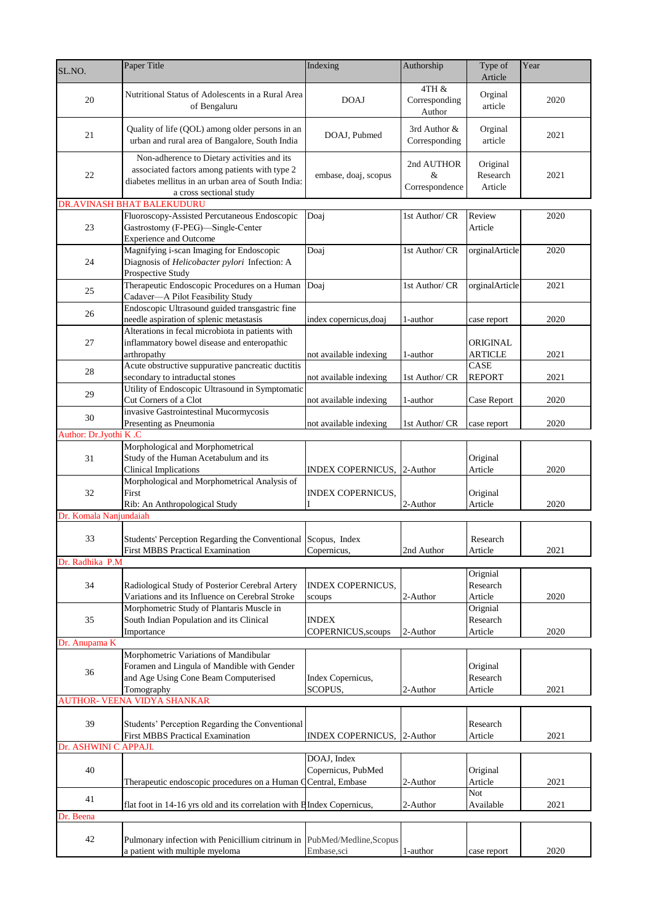| SL.NO.                 | Paper Title                                                                                  | Indexing                 | Authorship             | Type of               | Year |
|------------------------|----------------------------------------------------------------------------------------------|--------------------------|------------------------|-----------------------|------|
|                        |                                                                                              |                          |                        | Article               |      |
| 20                     | Nutritional Status of Adolescents in a Rural Area                                            | <b>DOAJ</b>              | 4TH &<br>Corresponding | Orginal               | 2020 |
|                        | of Bengaluru                                                                                 |                          | Author                 | article               |      |
|                        |                                                                                              |                          |                        |                       |      |
| 21                     | Quality of life (QOL) among older persons in an                                              | DOAJ, Pubmed             | 3rd Author &           | Orginal               | 2021 |
|                        | urban and rural area of Bangalore, South India                                               |                          | Corresponding          | article               |      |
|                        | Non-adherence to Dietary activities and its                                                  |                          | 2nd AUTHOR             | Original              |      |
| 22                     | associated factors among patients with type 2                                                | embase, doaj, scopus     | &                      | Research              | 2021 |
|                        | diabetes mellitus in an urban area of South India:<br>a cross sectional study                |                          | Correspondence         | Article               |      |
|                        | DR.AVINASH BHAT BALEKUDURU                                                                   |                          |                        |                       |      |
|                        | Fluoroscopy-Assisted Percutaneous Endoscopic                                                 | Doaj                     | 1st Author/ CR         | Review                | 2020 |
| 23                     | Gastrostomy (F-PEG)-Single-Center                                                            |                          |                        | Article               |      |
|                        | <b>Experience and Outcome</b>                                                                |                          |                        |                       |      |
|                        | Magnifying i-scan Imaging for Endoscopic                                                     | Doaj                     | 1st Author/ CR         | orginalArticle        | 2020 |
| 24                     | Diagnosis of Helicobacter pylori Infection: A                                                |                          |                        |                       |      |
|                        | Prospective Study<br>Therapeutic Endoscopic Procedures on a Human                            | Doaj                     | 1st Author/ CR         | orginalArticle        | 2021 |
| 25                     | Cadaver-A Pilot Feasibility Study                                                            |                          |                        |                       |      |
|                        | Endoscopic Ultrasound guided transgastric fine                                               |                          |                        |                       |      |
| 26                     | needle aspiration of splenic metastasis                                                      | index copernicus, doaj   | 1-author               | case report           | 2020 |
|                        | Alterations in fecal microbiota in patients with                                             |                          |                        |                       |      |
| 27                     | inflammatory bowel disease and enteropathic                                                  |                          |                        | ORIGINAL              |      |
|                        | arthropathy                                                                                  | not available indexing   | 1-author               | <b>ARTICLE</b>        | 2021 |
| 28                     | Acute obstructive suppurative pancreatic ductitis<br>secondary to intraductal stones         | not available indexing   | 1st Author/ CR         | CASE<br><b>REPORT</b> | 2021 |
|                        | Utility of Endoscopic Ultrasound in Symptomatic                                              |                          |                        |                       |      |
| 29                     | Cut Corners of a Clot                                                                        | not available indexing   | 1-author               | Case Report           | 2020 |
|                        | invasive Gastrointestinal Mucormycosis                                                       |                          |                        |                       |      |
| 30                     | Presenting as Pneumonia                                                                      | not available indexing   | 1st Author/ CR         | case report           | 2020 |
| Author: Dr.Jyothi K.C  |                                                                                              |                          |                        |                       |      |
| 31                     | Morphological and Morphometrical<br>Study of the Human Acetabulum and its                    |                          |                        |                       |      |
|                        | <b>Clinical Implications</b>                                                                 | INDEX COPERNICUS,        | 2-Author               | Original<br>Article   | 2020 |
|                        | Morphological and Morphometrical Analysis of                                                 |                          |                        |                       |      |
| 32                     | First                                                                                        | <b>INDEX COPERNICUS.</b> |                        | Original              |      |
|                        | Rib: An Anthropological Study                                                                |                          | 2-Author               | Article               | 2020 |
| Dr. Komala Nanjundaiah |                                                                                              |                          |                        |                       |      |
| 33                     | Students' Perception Regarding the Conventional Scopus, Index                                |                          |                        | Research              |      |
|                        | <b>First MBBS Practical Examination</b>                                                      | Copernicus,              | 2nd Author             | Article               | 2021 |
| Dr. Radhika P.M        |                                                                                              |                          |                        |                       |      |
|                        |                                                                                              |                          |                        | Orignial              |      |
| 34                     | Radiological Study of Posterior Cerebral Artery                                              | <b>INDEX COPERNICUS,</b> |                        | Research              |      |
|                        | Variations and its Influence on Cerebral Stroke<br>Morphometric Study of Plantaris Muscle in | scoups                   | 2-Author               | Article               | 2020 |
| 35                     | South Indian Population and its Clinical                                                     | <b>INDEX</b>             |                        | Orignial<br>Research  |      |
|                        | Importance                                                                                   | COPERNICUS, scoups       | 2-Author               | Article               | 2020 |
| Dr. Anupama K          |                                                                                              |                          |                        |                       |      |
|                        | Morphometric Variations of Mandibular                                                        |                          |                        |                       |      |
| 36                     | Foramen and Lingula of Mandible with Gender                                                  |                          |                        | Original              |      |
|                        | and Age Using Cone Beam Computerised                                                         | Index Copernicus,        |                        | Research              |      |
|                        | Tomography<br><b>AUTHOR- VEENA VIDYA SHANKAR</b>                                             | SCOPUS.                  | 2-Author               | Article               | 2021 |
|                        |                                                                                              |                          |                        |                       |      |
| 39                     | Students' Perception Regarding the Conventional                                              |                          |                        | Research              |      |
|                        | First MBBS Practical Examination                                                             | INDEX COPERNICUS,        | $2-Author$             | Article               | 2021 |
| Dr. ASHWINI C APPAJI.  |                                                                                              |                          |                        |                       |      |
|                        |                                                                                              | DOAJ, Index              |                        |                       |      |
| 40                     |                                                                                              | Copernicus, PubMed       |                        | Original              |      |
|                        | Therapeutic endoscopic procedures on a Human CCentral, Embase                                |                          | 2-Author               | Article<br>Not        | 2021 |
| 41                     | flat foot in 14-16 yrs old and its correlation with B Index Copernicus,                      |                          | 2-Author               | Available             | 2021 |
| Dr. Beena              |                                                                                              |                          |                        |                       |      |
|                        |                                                                                              |                          |                        |                       |      |
| 42                     | Pulmonary infection with Penicillium citrinum in PubMed/Medline, Scopus                      |                          |                        |                       |      |
|                        | a patient with multiple myeloma                                                              | Embase,sci               | 1-author               | case report           | 2020 |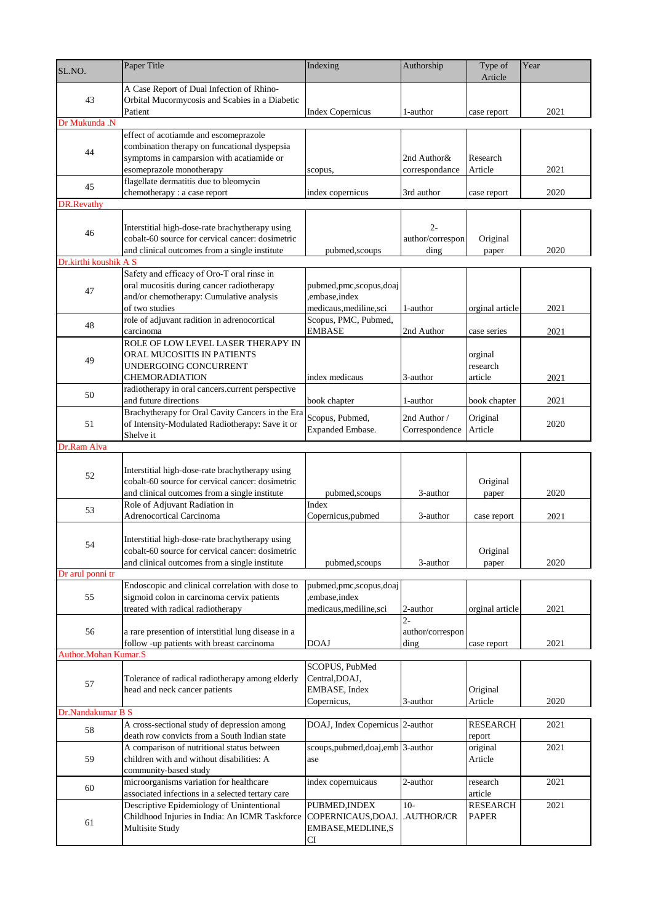| SL.NO.                | Paper Title                                                                                       | Indexing                                 | Authorship                    | Type of<br>Article         | Year |
|-----------------------|---------------------------------------------------------------------------------------------------|------------------------------------------|-------------------------------|----------------------------|------|
|                       | A Case Report of Dual Infection of Rhino-                                                         |                                          |                               |                            |      |
| 43                    | Orbital Mucormycosis and Scabies in a Diabetic                                                    |                                          |                               |                            |      |
|                       | Patient                                                                                           | <b>Index Copernicus</b>                  | 1-author                      | case report                | 2021 |
| Dr Mukunda .N         |                                                                                                   |                                          |                               |                            |      |
|                       | effect of acotiamde and escomeprazole                                                             |                                          |                               |                            |      |
| 44                    | combination therapy on funcational dyspepsia                                                      |                                          |                               |                            |      |
|                       | symptoms in camparsion with acatiamide or<br>esomeprazole monotherapy                             |                                          | 2nd Author&<br>correspondance | Research<br>Article        | 2021 |
|                       | flagellate dermatitis due to bleomycin                                                            | scopus,                                  |                               |                            |      |
| 45                    | chemotherapy : a case report                                                                      | index copernicus                         | 3rd author                    | case report                | 2020 |
| <b>DR.Revathy</b>     |                                                                                                   |                                          |                               |                            |      |
|                       |                                                                                                   |                                          |                               |                            |      |
| 46                    | Interstitial high-dose-rate brachytherapy using                                                   |                                          | $2 -$                         |                            |      |
|                       | cobalt-60 source for cervical cancer: dosimetric                                                  |                                          | author/correspon              | Original                   |      |
|                       | and clinical outcomes from a single institute                                                     | pubmed, scoups                           | ding                          | paper                      | 2020 |
| Dr.kirthi koushik A S |                                                                                                   |                                          |                               |                            |      |
|                       | Safety and efficacy of Oro-T oral rinse in                                                        |                                          |                               |                            |      |
| 47                    | oral mucositis during cancer radiotherapy                                                         | pubmed, pmc, scopus, doaj                |                               |                            |      |
|                       | and/or chemotherapy: Cumulative analysis<br>of two studies                                        | ,embase,index<br>medicaus, mediline, sci | 1-author                      | orginal article            | 2021 |
|                       | role of adjuvant radition in adrenocortical                                                       | Scopus, PMC, Pubmed,                     |                               |                            |      |
| 48                    | carcinoma                                                                                         | <b>EMBASE</b>                            | 2nd Author                    | case series                | 2021 |
|                       | ROLE OF LOW LEVEL LASER THERAPY IN                                                                |                                          |                               |                            |      |
|                       | <b>ORAL MUCOSITIS IN PATIENTS</b>                                                                 |                                          |                               | orginal                    |      |
| 49                    | UNDERGOING CONCURRENT                                                                             |                                          |                               | research                   |      |
|                       | <b>CHEMORADIATION</b>                                                                             | index medicaus                           | 3-author                      | article                    | 2021 |
| 50                    | radiotherapy in oral cancers.current perspective                                                  |                                          |                               |                            |      |
|                       | and future directions                                                                             | book chapter                             | 1-author                      | book chapter               | 2021 |
|                       | Brachytherapy for Oral Cavity Cancers in the Era                                                  | Scopus, Pubmed,                          | 2nd Author /                  | Original                   |      |
| 51                    | of Intensity-Modulated Radiotherapy: Save it or                                                   | Expanded Embase.                         | Correspondence                | Article                    | 2020 |
| Dr.Ram Alva           | Shelve it                                                                                         |                                          |                               |                            |      |
|                       |                                                                                                   |                                          |                               |                            |      |
|                       | Interstitial high-dose-rate brachytherapy using                                                   |                                          |                               |                            |      |
| 52                    | cobalt-60 source for cervical cancer: dosimetric                                                  |                                          |                               | Original                   |      |
|                       | and clinical outcomes from a single institute                                                     | pubmed, scoups                           | 3-author                      | paper                      | 2020 |
| 53                    | Role of Adjuvant Radiation in                                                                     | Index                                    |                               |                            |      |
|                       | <b>Adrenocortical Carcinoma</b>                                                                   | Copernicus, pubmed                       | 3-author                      | case report                | 2021 |
|                       |                                                                                                   |                                          |                               |                            |      |
| 54                    | Interstitial high-dose-rate brachytherapy using                                                   |                                          |                               |                            |      |
|                       | cobalt-60 source for cervical cancer: dosimetric<br>and clinical outcomes from a single institute | pubmed, scoups                           | 3-author                      | Original                   | 2020 |
| Dr arul ponni tr      |                                                                                                   |                                          |                               | paper                      |      |
|                       | Endoscopic and clinical correlation with dose to                                                  | pubmed,pmc,scopus,doaj                   |                               |                            |      |
| 55                    | sigmoid colon in carcinoma cervix patients                                                        | ,embase,index                            |                               |                            |      |
|                       | treated with radical radiotherapy                                                                 | medicaus, mediline, sci                  | 2-author                      | orginal article            | 2021 |
|                       |                                                                                                   |                                          | $2 -$                         |                            |      |
| 56                    | a rare presention of interstitial lung disease in a                                               |                                          | author/correspon              |                            |      |
|                       | follow -up patients with breast carcinoma                                                         | <b>DOAJ</b>                              | ding                          | case report                | 2021 |
| Author.Mohan Kumar.S  |                                                                                                   |                                          |                               |                            |      |
|                       |                                                                                                   | SCOPUS, PubMed                           |                               |                            |      |
| 57                    | Tolerance of radical radiotherapy among elderly<br>head and neck cancer patients                  | Central, DOAJ,<br>EMBASE, Index          |                               | Original                   |      |
|                       |                                                                                                   | Copernicus,                              | 3-author                      | Article                    | 2020 |
| Dr.Nandakumar B S     |                                                                                                   |                                          |                               |                            |      |
|                       | A cross-sectional study of depression among                                                       | DOAJ, Index Copernicus 2-author          |                               | RESEARCH                   | 2021 |
| 58                    | death row convicts from a South Indian state                                                      |                                          |                               | report                     |      |
|                       | A comparison of nutritional status between                                                        | scoups, pubmed, doaj, emb 3-author       |                               | original                   | 2021 |
| 59                    | children with and without disabilities: A                                                         | ase                                      |                               | Article                    |      |
|                       | community-based study                                                                             |                                          |                               |                            |      |
| 60                    | microorganisms variation for healthcare                                                           | index copernuicaus                       | 2-author                      | research                   | 2021 |
|                       | associated infections in a selected tertary care                                                  |                                          | $10-$                         | article<br><b>RESEARCH</b> | 2021 |
|                       | Descriptive Epidemiology of Unintentional<br>Childhood Injuries in India: An ICMR Taskforce       | PUBMED, INDEX<br>COPERNICAUS, DOAJ.      | AUTHOR/CR                     | <b>PAPER</b>               |      |
| 61                    | Multisite Study                                                                                   | EMBASE, MEDLINE, S                       |                               |                            |      |
|                       |                                                                                                   | CI                                       |                               |                            |      |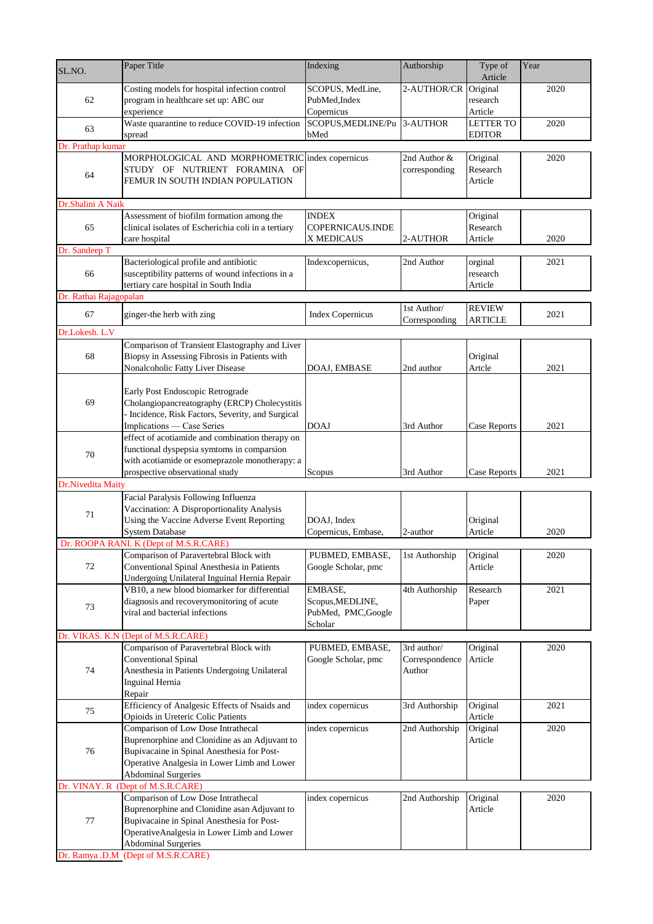| SL.NO.                 | Paper Title                                                                                                                                                                                                    | Indexing                                                      | Authorship                              | Type of<br>Article                | Year |
|------------------------|----------------------------------------------------------------------------------------------------------------------------------------------------------------------------------------------------------------|---------------------------------------------------------------|-----------------------------------------|-----------------------------------|------|
| 62                     | Costing models for hospital infection control<br>program in healthcare set up: ABC our<br>experience                                                                                                           | SCOPUS, MedLine,<br>PubMed, Index<br>Copernicus               | 2-AUTHOR/CR Original                    | research<br>Article               | 2020 |
| 63                     | Waste quarantine to reduce COVID-19 infection<br>spread                                                                                                                                                        | SCOPUS, MEDLINE/Pu<br>bMed                                    | 3-AUTHOR                                | <b>LETTER TO</b><br><b>EDITOR</b> | 2020 |
| Dr. Prathap kumar      |                                                                                                                                                                                                                |                                                               |                                         |                                   |      |
| 64                     | MORPHOLOGICAL AND MORPHOMETRIC<br>STUDY OF NUTRIENT FORAMINA OF<br>FEMUR IN SOUTH INDIAN POPULATION                                                                                                            | index copernicus                                              | 2nd Author &<br>corresponding           | Original<br>Research<br>Article   | 2020 |
| Dr.Shalini A Naik      |                                                                                                                                                                                                                |                                                               |                                         |                                   |      |
| 65                     | Assessment of biofilm formation among the<br>clinical isolates of Escherichia coli in a tertiary<br>care hospital                                                                                              | <b>INDEX</b><br>COPERNICAUS.INDE<br>X MEDICAUS                | 2-AUTHOR                                | Original<br>Research<br>Article   | 2020 |
| Dr. Sandeep T          |                                                                                                                                                                                                                |                                                               |                                         |                                   |      |
| 66                     | Bacteriological profile and antibiotic<br>susceptibility patterns of wound infections in a<br>tertiary care hospital in South India                                                                            | Indexcopernicus,                                              | 2nd Author                              | orginal<br>research<br>Article    | 2021 |
| Dr. Rathai Rajagopalan |                                                                                                                                                                                                                |                                                               |                                         |                                   |      |
| 67                     | ginger-the herb with zing                                                                                                                                                                                      | <b>Index Copernicus</b>                                       | 1st Author/<br>Corresponding            | <b>REVIEW</b><br><b>ARTICLE</b>   | 2021 |
| Dr.Lokesh. L.V         |                                                                                                                                                                                                                |                                                               |                                         |                                   |      |
| 68                     | Comparison of Transient Elastography and Liver<br>Biopsy in Assessing Fibrosis in Patients with<br>Nonalcoholic Fatty Liver Disease                                                                            | <b>DOAJ, EMBASE</b>                                           | 2nd author                              | Original<br>Artcle                | 2021 |
| 69                     | Early Post Endoscopic Retrograde<br>Cholangiopancreatography (ERCP) Cholecystitis<br>- Incidence, Risk Factors, Severity, and Surgical<br>Implications — Case Series                                           | <b>DOAJ</b>                                                   | 3rd Author                              | Case Reports                      | 2021 |
| 70                     | effect of acotiamide and combination therapy on<br>functional dyspepsia symtoms in comparsion<br>with acotiamide or esomeprazole monotherapy: a<br>prospective observational study                             | Scopus                                                        | 3rd Author                              | Case Reports                      | 2021 |
| Dr.Nivedita Maity      |                                                                                                                                                                                                                |                                                               |                                         |                                   |      |
|                        | Facial Paralysis Following Influenza                                                                                                                                                                           |                                                               |                                         |                                   |      |
| 71                     | Vaccination: A Disproportionality Analysis<br>Using the Vaccine Adverse Event Reporting<br><b>System Database</b>                                                                                              | DOAJ, Index<br>Copernicus, Embase,                            | 2-author                                | Original<br>Article               | 2020 |
|                        | Dr. ROOPA RANI. K (Dept of M.S.R.CARE)                                                                                                                                                                         |                                                               |                                         |                                   |      |
| 72                     | Comparison of Paravertebral Block with<br>Conventional Spinal Anesthesia in Patients<br>Undergoing Unilateral Inguinal Hernia Repair                                                                           | PUBMED, EMBASE,<br>Google Scholar, pmc                        | 1st Authorship                          | Original<br>Article               | 2020 |
| 73                     | VB10, a new blood biomarker for differential<br>diagnosis and recoverymonitoring of acute<br>viral and bacterial infections                                                                                    | EMBASE,<br>Scopus, MEDLINE,<br>PubMed, PMC, Google<br>Scholar | 4th Authorship                          | Research<br>Paper                 | 2021 |
|                        | Dr. VIKAS. K.N (Dept of M.S.R.CARE)                                                                                                                                                                            |                                                               |                                         |                                   |      |
| 74                     | Comparison of Paravertebral Block with<br>Conventional Spinal<br>Anesthesia in Patients Undergoing Unilateral<br>Inguinal Hernia<br>Repair                                                                     | PUBMED, EMBASE,<br>Google Scholar, pmc                        | 3rd author/<br>Correspondence<br>Author | Original<br>Article               | 2020 |
| 75                     | Efficiency of Analgesic Effects of Nsaids and<br>Opioids in Ureteric Colic Patients                                                                                                                            | index copernicus                                              | 3rd Authorship                          | Original<br>Article               | 2021 |
| 76                     | Comparison of Low Dose Intrathecal<br>Buprenorphine and Clonidine as an Adjuvant to<br>Bupivacaine in Spinal Anesthesia for Post-<br>Operative Analgesia in Lower Limb and Lower<br><b>Abdominal Surgeries</b> | index copernicus                                              | 2nd Authorship                          | Original<br>Article               | 2020 |
|                        | Dr. VINAY. R (Dept of M.S.R.CARE)                                                                                                                                                                              |                                                               |                                         |                                   |      |
| $77\,$                 | Comparison of Low Dose Intrathecal<br>Buprenorphine and Clonidine asan Adjuvant to<br>Bupivacaine in Spinal Anesthesia for Post-<br>OperativeAnalgesia in Lower Limb and Lower<br><b>Abdominal Surgeries</b>   | index copernicus                                              | 2nd Authorship                          | Original<br>Article               | 2020 |
|                        | Dr. Ramya .D.M (Dept of M.S.R.CARE)                                                                                                                                                                            |                                                               |                                         |                                   |      |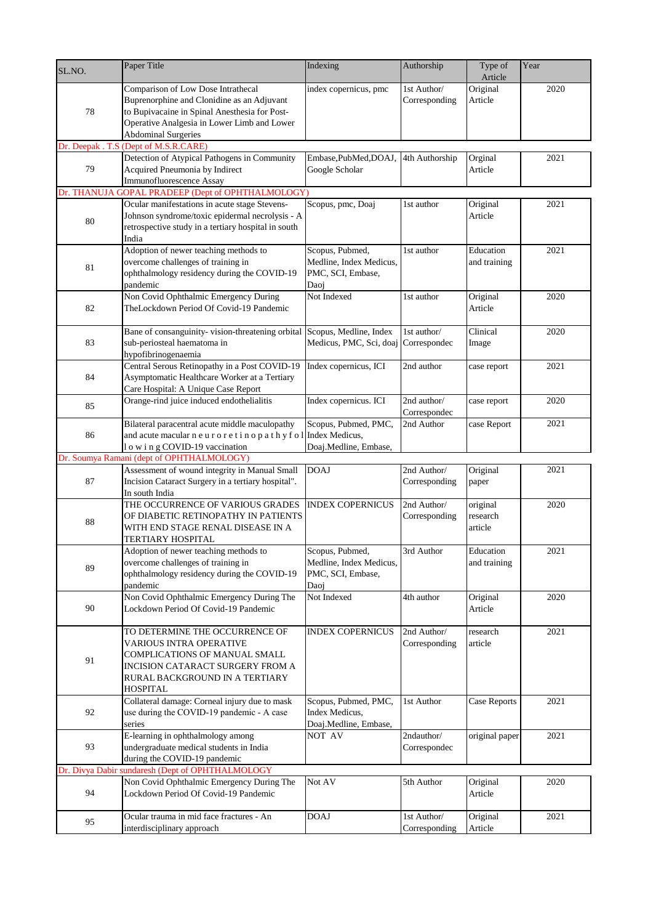| SL.NO. | Paper Title                                                                                                                                                                                                    | Indexing                                                                | Authorship                   | Type of<br>Article              | Year |
|--------|----------------------------------------------------------------------------------------------------------------------------------------------------------------------------------------------------------------|-------------------------------------------------------------------------|------------------------------|---------------------------------|------|
| 78     | Comparison of Low Dose Intrathecal<br>Buprenorphine and Clonidine as an Adjuvant<br>to Bupivacaine in Spinal Anesthesia for Post-<br>Operative Analgesia in Lower Limb and Lower<br><b>Abdominal Surgeries</b> | index copernicus, pmc                                                   | 1st Author/<br>Corresponding | Original<br>Article             | 2020 |
|        | Dr. Deepak . T.S (Dept of M.S.R.CARE)                                                                                                                                                                          |                                                                         |                              |                                 |      |
| 79     | Detection of Atypical Pathogens in Community<br>Acquired Pneumonia by Indirect<br>Immunofluorescence Assay                                                                                                     | Embase, PubMed, DOAJ,<br>Google Scholar                                 | 4th Authorship               | Orginal<br>Article              | 2021 |
|        | Dr. THANUJA GOPAL PRADEEP (Dept of OPHTHALMOLOGY)                                                                                                                                                              |                                                                         |                              |                                 |      |
| $80\,$ | Ocular manifestations in acute stage Stevens-<br>Johnson syndrome/toxic epidermal necrolysis - A<br>retrospective study in a tertiary hospital in south<br>India                                               | Scopus, pmc, Doaj                                                       | 1st author                   | Original<br>Article             | 2021 |
| 81     | Adoption of newer teaching methods to<br>overcome challenges of training in<br>ophthalmology residency during the COVID-19<br>pandemic                                                                         | Scopus, Pubmed,<br>Medline, Index Medicus,<br>PMC, SCI, Embase,<br>Daoj | 1st author                   | Education<br>and training       | 2021 |
| 82     | Non Covid Ophthalmic Emergency During<br>TheLockdown Period Of Covid-19 Pandemic                                                                                                                               | Not Indexed                                                             | 1st author                   | Original<br>Article             | 2020 |
| 83     | Bane of consanguinity-vision-threatening orbital<br>sub-periosteal haematoma in<br>hypofibrinogenaemia                                                                                                         | Scopus, Medline, Index<br>Medicus, PMC, Sci, doaj                       | 1st author/<br>Correspondec  | Clinical<br>Image               | 2020 |
| 84     | Central Serous Retinopathy in a Post COVID-19<br>Asymptomatic Healthcare Worker at a Tertiary<br>Care Hospital: A Unique Case Report                                                                           | Index copernicus, ICI                                                   | 2nd author                   | case report                     | 2021 |
| 85     | Orange-rind juice induced endothelialitis                                                                                                                                                                      | Index copernicus. ICI                                                   | 2nd author/<br>Correspondec  | case report                     | 2020 |
| 86     | Bilateral paracentral acute middle maculopathy<br>and acute macular n e u r o r e t i n o p a t h y f o<br>lowing COVID-19 vaccination                                                                         | Scopus, Pubmed, PMC,<br>Index Medicus,<br>Doaj.Medline, Embase,         | 2nd Author                   | case Report                     | 2021 |
|        | Dr. Soumya Ramani (dept of OPHTHALMOLOGY)                                                                                                                                                                      |                                                                         |                              |                                 |      |
| 87     | Assessment of wound integrity in Manual Small<br>Incision Cataract Surgery in a tertiary hospital".<br>In south India                                                                                          | <b>DOAJ</b>                                                             | 2nd Author/<br>Corresponding | Original<br>paper               | 2021 |
| 88     | THE OCCURRENCE OF VARIOUS GRADES<br>OF DIABETIC RETINOPATHY IN PATIENTS<br>WITH END STAGE RENAL DISEASE IN A<br>TERTIARY HOSPITAL                                                                              | <b>INDEX COPERNICUS</b>                                                 | 2nd Author/<br>Corresponding | original<br>research<br>article | 2020 |
| 89     | Adoption of newer teaching methods to<br>overcome challenges of training in<br>ophthalmology residency during the COVID-19<br>pandemic                                                                         | Scopus, Pubmed,<br>Medline, Index Medicus,<br>PMC, SCI, Embase,<br>Daoj | 3rd Author                   | Education<br>and training       | 2021 |
| 90     | Non Covid Ophthalmic Emergency During The<br>Lockdown Period Of Covid-19 Pandemic                                                                                                                              | Not Indexed                                                             | 4th author                   | Original<br>Article             | 2020 |
| 91     | TO DETERMINE THE OCCURRENCE OF<br><b>VARIOUS INTRA OPERATIVE</b><br>COMPLICATIONS OF MANUAL SMALL<br>INCISION CATARACT SURGERY FROM A<br>RURAL BACKGROUND IN A TERTIARY<br><b>HOSPITAL</b>                     | <b>INDEX COPERNICUS</b>                                                 | 2nd Author/<br>Corresponding | research<br>article             | 2021 |
| 92     | Collateral damage: Corneal injury due to mask<br>use during the COVID-19 pandemic - A case<br>series                                                                                                           | Scopus, Pubmed, PMC,<br>Index Medicus,<br>Doaj.Medline, Embase,         | 1st Author                   | <b>Case Reports</b>             | 2021 |
| 93     | E-learning in ophthalmology among<br>undergraduate medical students in India<br>during the COVID-19 pandemic                                                                                                   | NOT AV                                                                  | 2ndauthor/<br>Correspondec   | original paper                  | 2021 |
|        | Dr. Divya Dabir sundaresh (Dept of OPHTHALMOLOGY                                                                                                                                                               |                                                                         |                              |                                 |      |
| 94     | Non Covid Ophthalmic Emergency During The<br>Lockdown Period Of Covid-19 Pandemic                                                                                                                              | Not AV                                                                  | 5th Author                   | Original<br>Article             | 2020 |
| 95     | Ocular trauma in mid face fractures - An<br>interdisciplinary approach                                                                                                                                         | <b>DOAJ</b>                                                             | 1st Author/<br>Corresponding | Original<br>Article             | 2021 |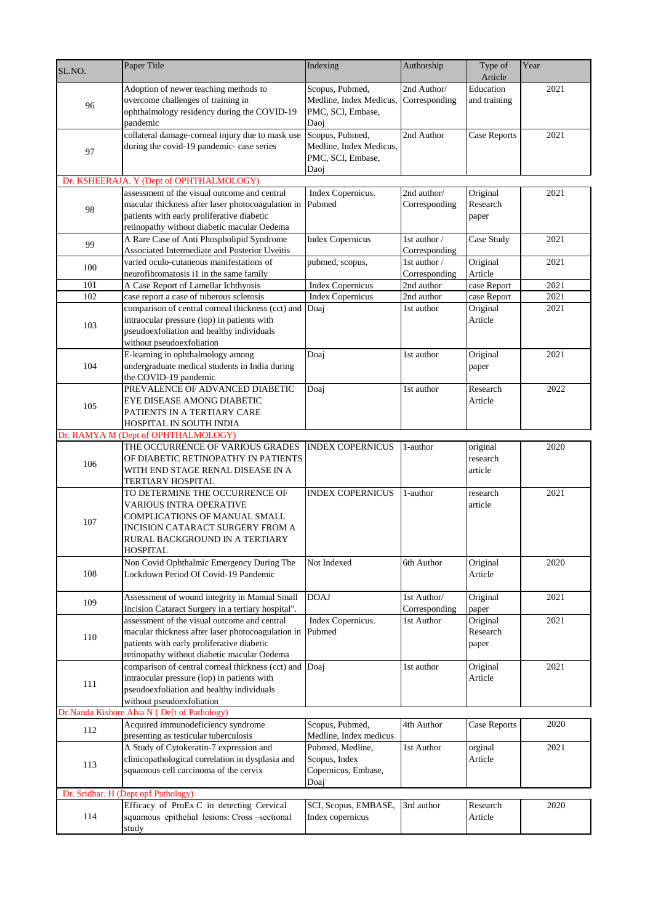| SL.NO. | Paper Title                                                                                                                                                                                    | Indexing                                                                              | Authorship                    | Type of<br>Article              | Year |
|--------|------------------------------------------------------------------------------------------------------------------------------------------------------------------------------------------------|---------------------------------------------------------------------------------------|-------------------------------|---------------------------------|------|
| 96     | Adoption of newer teaching methods to<br>overcome challenges of training in<br>ophthalmology residency during the COVID-19<br>pandemic                                                         | Scopus, Pubmed,<br>Medline, Index Medicus, Corresponding<br>PMC, SCI, Embase,<br>Daoj | 2nd Author/                   | Education<br>and training       | 2021 |
| 97     | collateral damage-corneal injury due to mask use<br>during the covid-19 pandemic- case series                                                                                                  | Scopus, Pubmed,<br>Medline, Index Medicus,<br>PMC, SCI, Embase,<br>Daoj               | 2nd Author                    | <b>Case Reports</b>             | 2021 |
|        | Dr. KSHEERAJA. Y (Dept of OPHTHALMOLOGY)                                                                                                                                                       |                                                                                       |                               |                                 |      |
| 98     | assessment of the visual outcome and central<br>macular thickness after laser photocoagulation in<br>patients with early proliferative diabetic<br>retinopathy without diabetic macular Oedema | Index Copernicus.<br>Pubmed                                                           | 2nd author/<br>Corresponding  | Original<br>Research<br>paper   | 2021 |
| 99     | A Rare Case of Anti Phospholipid Syndrome<br>Associated Intermediate and Posterior Uveitis                                                                                                     | <b>Index Copernicus</b>                                                               | 1st author /<br>Corresponding | Case Study                      | 2021 |
| 100    | varied oculo-cutaneous manifestations of<br>neurofibromatosis i1 in the same family                                                                                                            | pubmed, scopus,                                                                       | 1st author /<br>Corresponding | Original<br>Article             | 2021 |
| 101    | A Case Report of Lamellar Ichthyosis                                                                                                                                                           | <b>Index Copernicus</b>                                                               | 2nd author                    | case Report                     | 2021 |
| 102    | case report a case of tuberous sclerosis                                                                                                                                                       | <b>Index Copernicus</b>                                                               | 2nd author                    | case Report                     | 2021 |
| 103    | comparison of central corneal thickness (cct) and<br>intraocular pressure (iop) in patients with<br>pseudoexfoliation and healthy individuals<br>without pseudoexfoliation                     | Doaj                                                                                  | 1st author                    | Original<br>Article             | 2021 |
| 104    | E-learning in ophthalmology among<br>undergraduate medical students in India during<br>the COVID-19 pandemic                                                                                   | Doaj                                                                                  | 1st author                    | Original<br>paper               | 2021 |
| 105    | PREVALENCE OF ADVANCED DIABETIC<br>EYE DISEASE AMONG DIABETIC<br>PATIENTS IN A TERTIARY CARE<br>HOSPITAL IN SOUTH INDIA                                                                        | Doaj                                                                                  | 1st author                    | Research<br>Article             | 2022 |
|        | Dr. RAMYA M (Dept of OPHTHALMOLOGY)                                                                                                                                                            |                                                                                       |                               |                                 |      |
| 106    | THE OCCURRENCE OF VARIOUS GRADES<br>OF DIABETIC RETINOPATHY IN PATIENTS<br>WITH END STAGE RENAL DISEASE IN A<br>TERTIARY HOSPITAL                                                              | <b>INDEX COPERNICUS</b>                                                               | 1-author                      | original<br>research<br>article | 2020 |
| 107    | TO DETERMINE THE OCCURRENCE OF<br><b>VARIOUS INTRA OPERATIVE</b><br>COMPLICATIONS OF MANUAL SMALL<br>INCISION CATARACT SURGERY FROM A<br>RURAL BACKGROUND IN A TERTIARY<br><b>HOSPITAL</b>     | <b>INDEX COPERNICUS</b>                                                               | 1-author                      | research<br>article             | 2021 |
| 108    | Non Covid Ophthalmic Emergency During The<br>Lockdown Period Of Covid-19 Pandemic                                                                                                              | Not Indexed                                                                           | 6th Author                    | Original<br>Article             | 2020 |
| 109    | Assessment of wound integrity in Manual Small<br>Incision Cataract Surgery in a tertiary hospital".                                                                                            | <b>DOAJ</b>                                                                           | 1st Author/<br>Corresponding  | Original<br>paper               | 2021 |
| 110    | assessment of the visual outcome and central<br>macular thickness after laser photocoagulation in<br>patients with early proliferative diabetic<br>retinopathy without diabetic macular Oedema | Index Copernicus.<br>Pubmed                                                           | 1st Author                    | Original<br>Research<br>paper   | 2021 |
| 111    | comparison of central corneal thickness (cct) and<br>intraocular pressure (iop) in patients with<br>pseudoexfoliation and healthy individuals<br>without pseudoexfoliation                     | Doaj                                                                                  | 1st author                    | Original<br>Article             | 2021 |
|        | Dr.Nanda Kishore Alva N (De[t of Pathology)                                                                                                                                                    |                                                                                       |                               |                                 |      |
| 112    | Acquired immunodeficiency syndrome<br>presenting as testicular tuberculosis                                                                                                                    | Scopus, Pubmed,<br>Medline, Index medicus                                             | 4th Author                    | <b>Case Reports</b>             | 2020 |
| 113    | A Study of Cytokeratin-7 expression and<br>clinicopathological correlation in dysplasia and<br>squamous cell carcinoma of the cervix                                                           | Pubmed, Medline,<br>Scopus, Index<br>Copernicus, Embase,<br>Doaj                      | 1st Author                    | orginal<br>Article              | 2021 |
|        | Dr. Sridhar. H (Dept opf Pathology)                                                                                                                                                            |                                                                                       |                               |                                 |      |
| 114    | Efficacy of ProEx C in detecting Cervical<br>squamous epithelial lesions: Cross-sectional<br>study                                                                                             | SCI, Scopus, EMBASE,<br>Index copernicus                                              | 3rd author                    | Research<br>Article             | 2020 |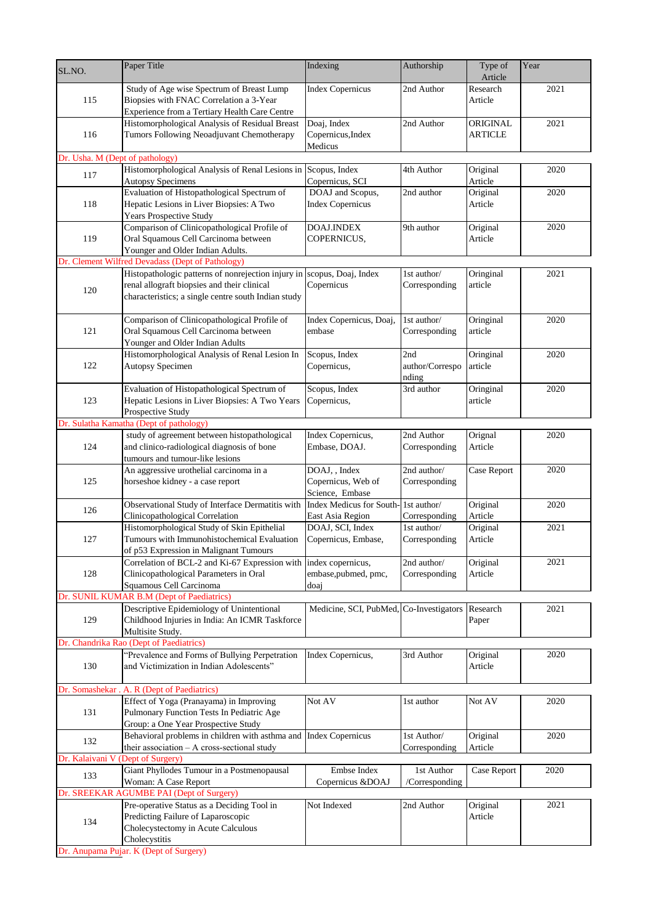| SL.NO.                                   | Paper Title                                                                                                                                                                  | Indexing                                                | Authorship                      | Type of<br>Article         | Year |
|------------------------------------------|------------------------------------------------------------------------------------------------------------------------------------------------------------------------------|---------------------------------------------------------|---------------------------------|----------------------------|------|
| 115                                      | Study of Age wise Spectrum of Breast Lump<br>Biopsies with FNAC Correlation a 3-Year<br>Experience from a Tertiary Health Care Centre                                        | <b>Index Copernicus</b>                                 | 2nd Author                      | Research<br>Article        | 2021 |
| 116                                      | Histomorphological Analysis of Residual Breast<br>Tumors Following Neoadjuvant Chemotherapy                                                                                  | Doaj, Index<br>Copernicus, Index<br>Medicus             | 2nd Author                      | ORIGINAL<br><b>ARTICLE</b> | 2021 |
| Dr. Usha. M (Dept of pathology)          |                                                                                                                                                                              |                                                         |                                 |                            |      |
| 117                                      | Histomorphological Analysis of Renal Lesions in Scopus, Index<br><b>Autopsy Specimens</b>                                                                                    | Copernicus, SCI                                         | 4th Author                      | Original<br>Article        | 2020 |
| 118                                      | Evaluation of Histopathological Spectrum of<br>Hepatic Lesions in Liver Biopsies: A Two<br>Years Prospective Study                                                           | DOAJ and Scopus,<br><b>Index Copernicus</b>             | 2nd author                      | Original<br>Article        | 2020 |
| 119                                      | Comparison of Clinicopathological Profile of<br>Oral Squamous Cell Carcinoma between<br>Younger and Older Indian Adults.                                                     | <b>DOAJ.INDEX</b><br>COPERNICUS,                        | 9th author                      | Original<br>Article        | 2020 |
|                                          | Dr. Clement Wilfred Devadass (Dept of Pathology)                                                                                                                             |                                                         |                                 |                            |      |
| 120                                      | Histopathologic patterns of nonrejection injury in scopus, Doaj, Index<br>renal allograft biopsies and their clinical<br>characteristics; a single centre south Indian study | Copernicus                                              | 1st author/<br>Corresponding    | Oringinal<br>article       | 2021 |
| 121                                      | Comparison of Clinicopathological Profile of<br>Oral Squamous Cell Carcinoma between<br>Younger and Older Indian Adults                                                      | Index Copernicus, Doaj,<br>embase                       | 1st author/<br>Corresponding    | Oringinal<br>article       | 2020 |
| 122                                      | Histomorphological Analysis of Renal Lesion In<br>Autopsy Specimen                                                                                                           | Scopus, Index<br>Copernicus,                            | 2nd<br>author/Correspo<br>nding | Oringinal<br>article       | 2020 |
| 123                                      | Evaluation of Histopathological Spectrum of<br>Hepatic Lesions in Liver Biopsies: A Two Years<br>Prospective Study                                                           | Scopus, Index<br>Copernicus,                            | 3rd author                      | Oringinal<br>article       | 2020 |
|                                          | Dr. Sulatha Kamatha (Dept of pathology)                                                                                                                                      |                                                         |                                 |                            |      |
| 124                                      | study of agreement between histopathological<br>and clinico-radiological diagnosis of bone<br>tumours and tumour-like lesions                                                | Index Copernicus,<br>Embase, DOAJ.                      | 2nd Author<br>Corresponding     | Orignal<br>Article         | 2020 |
| 125                                      | An aggressive urothelial carcinoma in a<br>horseshoe kidney - a case report                                                                                                  | DOAJ,, Index<br>Copernicus, Web of<br>Science, Embase   | 2nd author/<br>Corresponding    | Case Report                | 2020 |
| 126                                      | Observational Study of Interface Dermatitis with<br>Clinicopathological Correlation                                                                                          | Index Medicus for South-1st author/<br>East Asia Region | Corresponding                   | Original<br>Article        | 2020 |
| 127                                      | Histomorphological Study of Skin Epithelial<br>Tumours with Immunohistochemical Evaluation<br>of p53 Expression in Malignant Tumours                                         | DOAJ, SCI, Index<br>Copernicus, Embase,                 | 1st author/<br>Corresponding    | Original<br>Article        | 2021 |
| 128                                      | Correlation of BCL-2 and Ki-67 Expression with index copernicus,<br>Clinicopathological Parameters in Oral<br>Squamous Cell Carcinoma                                        | embase, pubmed, pmc,<br>doaj                            | 2nd author/<br>Corresponding    | Original<br>Article        | 2021 |
|                                          | Dr. SUNIL KUMAR B.M (Dept of Paediatrics)                                                                                                                                    |                                                         |                                 |                            |      |
| 129                                      | Descriptive Epidemiology of Unintentional<br>Childhood Injuries in India: An ICMR Taskforce<br>Multisite Study.                                                              | Medicine, SCI, PubMed, Co-Investigators                 |                                 | Research<br>Paper          | 2021 |
|                                          | Dr. Chandrika Rao (Dept of Paediatrics)                                                                                                                                      |                                                         |                                 |                            |      |
| 130                                      | "Prevalence and Forms of Bullying Perpetration<br>and Victimization in Indian Adolescents"                                                                                   | Index Copernicus,                                       | 3rd Author                      | Original<br>Article        | 2020 |
|                                          | Dr. Somashekar . A. R (Dept of Paediatrics)                                                                                                                                  |                                                         |                                 |                            |      |
| 131                                      | Effect of Yoga (Pranayama) in Improving<br>Pulmonary Function Tests In Pediatric Age<br>Group: a One Year Prospective Study                                                  | Not AV                                                  | 1st author                      | Not AV                     | 2020 |
| 132<br>Dr. Kalaivani V (Dept of Surgery) | Behavioral problems in children with asthma and<br>their association - A cross-sectional study                                                                               | <b>Index Copernicus</b>                                 | 1st Author/<br>Corresponding    | Original<br>Article        | 2020 |
| 133                                      | Giant Phyllodes Tumour in a Postmenopausal<br>Woman: A Case Report                                                                                                           | Embse Index<br>Copernicus &DOAJ                         | 1st Author<br>/Corresponding    | Case Report                | 2020 |
|                                          | Dr. SREEKAR AGUMBE PAI (Dept of Surgery)                                                                                                                                     |                                                         |                                 |                            |      |
| 134                                      | Pre-operative Status as a Deciding Tool in<br>Predicting Failure of Laparoscopic<br>Cholecystectomy in Acute Calculous<br>Cholecystitis                                      | Not Indexed                                             | 2nd Author                      | Original<br>Article        | 2021 |
|                                          | Dr. Anupama Pujar. K (Dept of Surgery)                                                                                                                                       |                                                         |                                 |                            |      |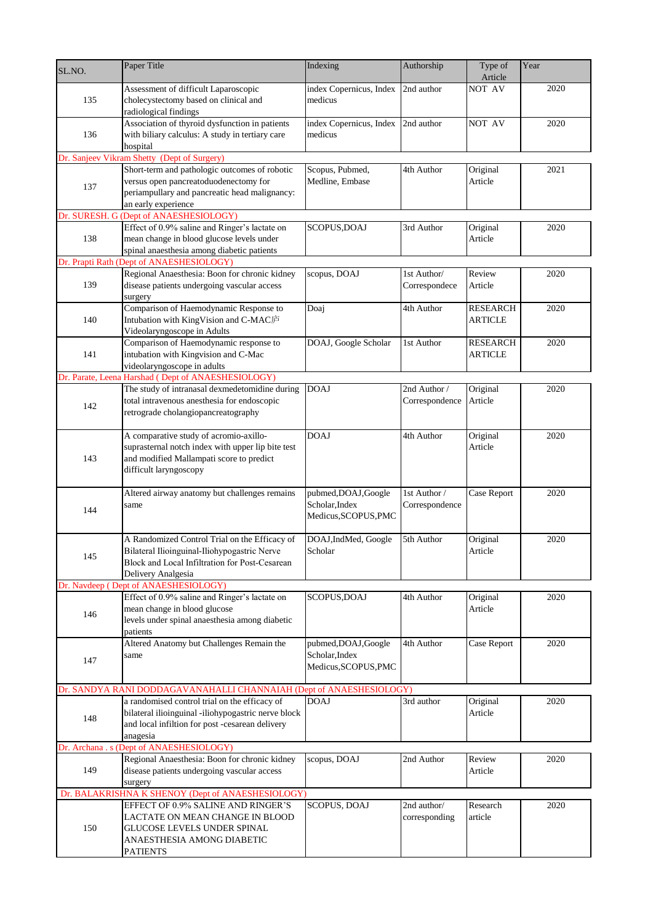| SL.NO. | Paper Title                                                                                                                                                           | Indexing                                                       | Authorship                     | Type of<br>Article                | Year |
|--------|-----------------------------------------------------------------------------------------------------------------------------------------------------------------------|----------------------------------------------------------------|--------------------------------|-----------------------------------|------|
| 135    | Assessment of difficult Laparoscopic<br>cholecystectomy based on clinical and<br>radiological findings                                                                | index Copernicus, Index<br>medicus                             | 2nd author                     | NOT AV                            | 2020 |
| 136    | Association of thyroid dysfunction in patients<br>with biliary calculus: A study in tertiary care<br>hospital                                                         | index Copernicus, Index<br>medicus                             | 2nd author                     | NOT AV                            | 2020 |
|        | Dr. Sanjeev Vikram Shetty (Dept of Surgery)                                                                                                                           |                                                                |                                |                                   |      |
| 137    | Short-term and pathologic outcomes of robotic<br>versus open pancreatoduodenectomy for<br>periampullary and pancreatic head malignancy:<br>an early experience        | Scopus, Pubmed,<br>Medline, Embase                             | 4th Author                     | Original<br>Article               | 2021 |
|        | Dr. SURESH. G (Dept of ANAESHESIOLOGY)                                                                                                                                |                                                                |                                |                                   |      |
| 138    | Effect of 0.9% saline and Ringer's lactate on<br>mean change in blood glucose levels under<br>spinal anaesthesia among diabetic patients                              | SCOPUS, DOAJ                                                   | 3rd Author                     | Original<br>Article               | 2020 |
|        | Dr. Prapti Rath (Dept of ANAESHESIOLOGY)                                                                                                                              |                                                                |                                |                                   |      |
| 139    | Regional Anaesthesia: Boon for chronic kidney<br>disease patients undergoing vascular access<br>surgery                                                               | scopus, DOAJ                                                   | 1st Author/<br>Correspondece   | Review<br>Article                 | 2020 |
| 140    | Comparison of Haemodynamic Response to<br>Intubation with KingVision and C-MAC庐<br>Videolaryngoscope in Adults                                                        | Doaj                                                           | 4th Author                     | <b>RESEARCH</b><br><b>ARTICLE</b> | 2020 |
| 141    | Comparison of Haemodynamic response to<br>intubation with Kingvision and C-Mac<br>videolaryngoscope in adults                                                         | DOAJ, Google Scholar                                           | 1st Author                     | <b>RESEARCH</b><br><b>ARTICLE</b> | 2020 |
|        | Dr. Parate, Leena Harshad (Dept of ANAESHESIOLOGY)                                                                                                                    |                                                                |                                |                                   |      |
| 142    | The study of intranasal dexmedetomidine during<br>total intravenous anesthesia for endoscopic<br>retrograde cholangiopancreatography                                  | <b>DOAJ</b>                                                    | 2nd Author /<br>Correspondence | Original<br>Article               | 2020 |
| 143    | A comparative study of acromio-axillo-<br>suprasternal notch index with upper lip bite test<br>and modified Mallampati score to predict<br>difficult laryngoscopy     | <b>DOAJ</b>                                                    | 4th Author                     | Original<br>Article               | 2020 |
| 144    | Altered airway anatomy but challenges remains<br>same                                                                                                                 | pubmed, DOAJ, Google<br>Scholar, Index<br>Medicus, SCOPUS, PMC | 1st Author /<br>Correspondence | Case Report                       | 2020 |
| 145    | A Randomized Control Trial on the Efficacy of<br>Bilateral Ilioinguinal-Iliohypogastric Nerve<br>Block and Local Infiltration for Post-Cesarean<br>Delivery Analgesia | DOAJ, IndMed, Google<br>Scholar                                | 5th Author                     | Original<br>Article               | 2020 |
|        | Dr. Navdeep (Dept of ANAESHESIOLOGY)                                                                                                                                  |                                                                |                                |                                   |      |
| 146    | Effect of 0.9% saline and Ringer's lactate on<br>mean change in blood glucose<br>levels under spinal anaesthesia among diabetic<br>patients                           | SCOPUS, DOAJ                                                   | 4th Author                     | Original<br>Article               | 2020 |
| 147    | Altered Anatomy but Challenges Remain the<br>same                                                                                                                     | pubmed, DOAJ, Google<br>Scholar, Index<br>Medicus, SCOPUS, PMC | 4th Author                     | Case Report                       | 2020 |
|        | Dr. SANDYA RANI DODDAGAVANAHALLI CHANNAIAH (Dept of ANAESHESIOLOGY)                                                                                                   |                                                                |                                |                                   |      |
| 148    | a randomised control trial on the efficacy of<br>bilateral ilioinguinal -iliohypogastric nerve block<br>and local infiltion for post -cesarean delivery<br>anagesia   | DOAJ                                                           | 3rd author                     | Original<br>Article               | 2020 |
|        | Dr. Archana. s (Dept of ANAESHESIOLOGY)                                                                                                                               |                                                                |                                |                                   |      |
| 149    | Regional Anaesthesia: Boon for chronic kidney<br>disease patients undergoing vascular access<br>surgery                                                               | scopus, DOAJ                                                   | 2nd Author                     | Review<br>Article                 | 2020 |
|        | Dr. BALAKRISHNA K SHENOY (Dept of ANAESHESIOLOGY)                                                                                                                     |                                                                |                                |                                   |      |
| 150    | EFFECT OF 0.9% SALINE AND RINGER'S<br>LACTATE ON MEAN CHANGE IN BLOOD<br>GLUCOSE LEVELS UNDER SPINAL<br>ANAESTHESIA AMONG DIABETIC<br><b>PATIENTS</b>                 | SCOPUS, DOAJ                                                   | 2nd author/<br>corresponding   | Research<br>article               | 2020 |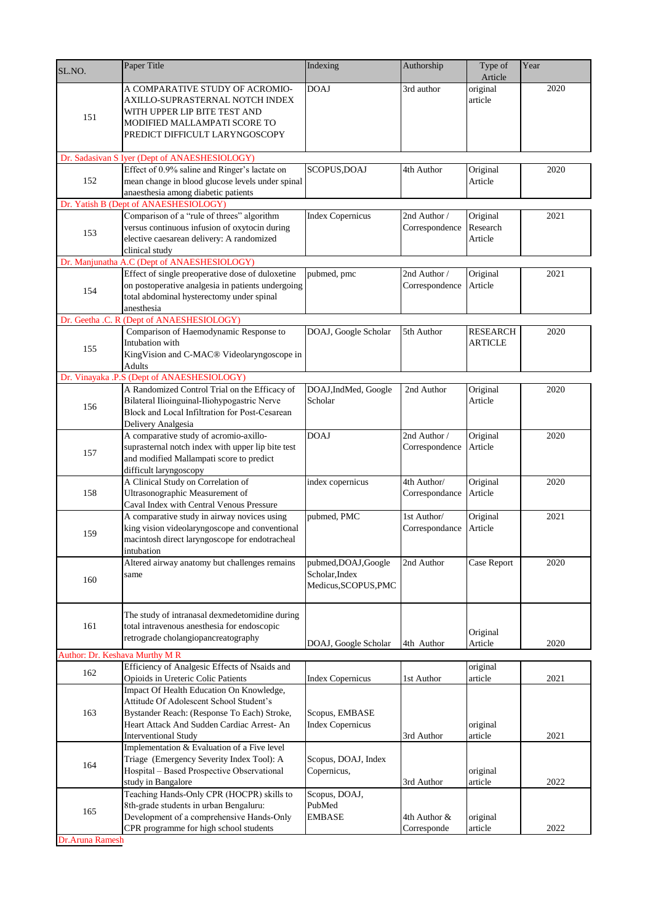| SL.NO.                         | Paper Title                                                                                                                                                                                                    | Indexing                                                       | Authorship                     | Type of<br>Article                | Year |
|--------------------------------|----------------------------------------------------------------------------------------------------------------------------------------------------------------------------------------------------------------|----------------------------------------------------------------|--------------------------------|-----------------------------------|------|
| 151                            | A COMPARATIVE STUDY OF ACROMIO-<br>AXILLO-SUPRASTERNAL NOTCH INDEX<br>WITH UPPER LIP BITE TEST AND<br>MODIFIED MALLAMPATI SCORE TO<br>PREDICT DIFFICULT LARYNGOSCOPY                                           | <b>DOAJ</b>                                                    | 3rd author                     | original<br>article               | 2020 |
|                                | Dr. Sadasivan S Iyer (Dept of ANAESHESIOLOGY)                                                                                                                                                                  |                                                                |                                |                                   |      |
| 152                            | Effect of 0.9% saline and Ringer's lactate on<br>mean change in blood glucose levels under spinal<br>anaesthesia among diabetic patients                                                                       | SCOPUS, DOAJ                                                   | 4th Author                     | Original<br>Article               | 2020 |
|                                | Dr. Yatish B (Dept of ANAESHESIOLOGY)                                                                                                                                                                          |                                                                |                                |                                   |      |
| 153                            | Comparison of a "rule of threes" algorithm<br>versus continuous infusion of oxytocin during<br>elective caesarean delivery: A randomized<br>clinical study                                                     | <b>Index Copernicus</b>                                        | 2nd Author /<br>Correspondence | Original<br>Research<br>Article   | 2021 |
|                                | Dr. Manjunatha A.C (Dept of ANAESHESIOLOGY)                                                                                                                                                                    |                                                                |                                |                                   |      |
| 154                            | Effect of single preoperative dose of duloxetine<br>on postoperative analgesia in patients undergoing<br>total abdominal hysterectomy under spinal<br>anesthesia                                               | pubmed, pmc                                                    | 2nd Author /<br>Correspondence | Original<br>Article               | 2021 |
|                                | Dr. Geetha .C. R (Dept of ANAESHESIOLOGY)                                                                                                                                                                      |                                                                |                                |                                   |      |
| 155                            | Comparison of Haemodynamic Response to<br>Intubation with<br>KingVision and C-MAC® Videolaryngoscope in<br>Adults                                                                                              | DOAJ, Google Scholar                                           | 5th Author                     | <b>RESEARCH</b><br><b>ARTICLE</b> | 2020 |
|                                | Dr. Vinayaka .P.S (Dept of ANAESHESIOLOGY)                                                                                                                                                                     |                                                                |                                |                                   |      |
| 156                            | A Randomized Control Trial on the Efficacy of<br>Bilateral Ilioinguinal-Iliohypogastric Nerve<br>Block and Local Infiltration for Post-Cesarean<br>Delivery Analgesia                                          | DOAJ, IndMed, Google<br>Scholar                                | 2nd Author                     | Original<br>Article               | 2020 |
| 157                            | A comparative study of acromio-axillo-<br>suprasternal notch index with upper lip bite test<br>and modified Mallampati score to predict<br>difficult laryngoscopy                                              | <b>DOAJ</b>                                                    | 2nd Author /<br>Correspondence | Original<br>Article               | 2020 |
| 158                            | A Clinical Study on Correlation of<br>Ultrasonographic Measurement of<br>Caval Index with Central Venous Pressure                                                                                              | index copernicus                                               | 4th Author/<br>Correspondance  | Original<br>Article               | 2020 |
| 159                            | A comparative study in airway novices using<br>king vision videolaryngoscope and conventional<br>macintosh direct laryngoscope for endotracheal<br>intubation                                                  | pubmed, PMC                                                    | 1st Author/<br>Correspondance  | Original<br>Article               | 2021 |
| 160                            | Altered airway anatomy but challenges remains<br>same                                                                                                                                                          | pubmed, DOAJ, Google<br>Scholar, Index<br>Medicus, SCOPUS, PMC | 2nd Author                     | Case Report                       | 2020 |
| 161                            | The study of intranasal dexmedetomidine during<br>total intravenous anesthesia for endoscopic<br>retrograde cholangiopancreatography                                                                           | DOAJ, Google Scholar                                           | 4th Author                     | Original<br>Article               | 2020 |
| Author: Dr. Keshava Murthy M R | Efficiency of Analgesic Effects of Nsaids and                                                                                                                                                                  |                                                                |                                | original                          |      |
| 162                            | Opioids in Ureteric Colic Patients                                                                                                                                                                             | <b>Index Copernicus</b>                                        | 1st Author                     | article                           | 2021 |
| 163                            | Impact Of Health Education On Knowledge,<br>Attitude Of Adolescent School Student's<br>Bystander Reach: (Response To Each) Stroke,<br>Heart Attack And Sudden Cardiac Arrest-An<br><b>Interventional Study</b> | Scopus, EMBASE<br><b>Index Copernicus</b>                      | 3rd Author                     | original<br>article               | 2021 |
| 164                            | Implementation & Evaluation of a Five level<br>Triage (Emergency Severity Index Tool): A<br>Hospital - Based Prospective Observational<br>study in Bangalore                                                   | Scopus, DOAJ, Index<br>Copernicus,                             | 3rd Author                     | original<br>article               | 2022 |
| 165<br>Dr.Aruna Ramesh         | Teaching Hands-Only CPR (HOCPR) skills to<br>8th-grade students in urban Bengaluru:<br>Development of a comprehensive Hands-Only<br>CPR programme for high school students                                     | Scopus, DOAJ,<br>PubMed<br>EMBASE                              | 4th Author &<br>Corresponde    | original<br>article               | 2022 |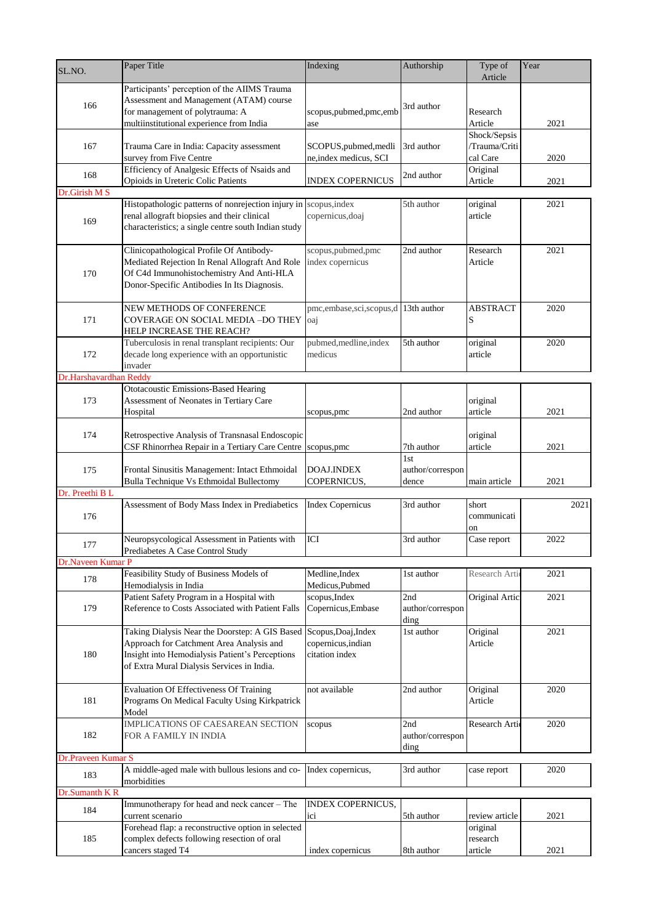| SL.NO.                 | Paper Title                                                                                                                                                                                 | Indexing                                                    | Authorship                       | Type of<br>Article                        | Year |      |
|------------------------|---------------------------------------------------------------------------------------------------------------------------------------------------------------------------------------------|-------------------------------------------------------------|----------------------------------|-------------------------------------------|------|------|
| 166                    | Participants' perception of the AIIMS Trauma<br>Assessment and Management (ATAM) course<br>for management of polytrauma: A<br>multiinstitutional experience from India                      | scopus, pubmed, pmc, emb<br>ase                             | 3rd author                       | Research<br>Article                       | 2021 |      |
| 167                    | Trauma Care in India: Capacity assessment<br>survey from Five Centre                                                                                                                        | SCOPUS, pubmed, medli<br>ne, index medicus, SCI             | 3rd author                       | Shock/Sepsis<br>/Trauma/Criti<br>cal Care | 2020 |      |
| 168                    | Efficiency of Analgesic Effects of Nsaids and<br>Opioids in Ureteric Colic Patients                                                                                                         | <b>INDEX COPERNICUS</b>                                     | 2nd author                       | Original<br>Article                       | 2021 |      |
| Dr.Girish M S          |                                                                                                                                                                                             |                                                             |                                  |                                           |      |      |
| 169                    | Histopathologic patterns of nonrejection injury in scopus, index<br>renal allograft biopsies and their clinical<br>characteristics; a single centre south Indian study                      | copernicus, doaj                                            | 5th author                       | original<br>article                       | 2021 |      |
| 170                    | Clinicopathological Profile Of Antibody-<br>Mediated Rejection In Renal Allograft And Role<br>Of C4d Immunohistochemistry And Anti-HLA<br>Donor-Specific Antibodies In Its Diagnosis.       | scopus, pubmed, pmc<br>index copernicus                     | 2nd author                       | Research<br>Article                       | 2021 |      |
| 171                    | NEW METHODS OF CONFERENCE<br>COVERAGE ON SOCIAL MEDIA -DO THEY<br>HELP INCREASE THE REACH?                                                                                                  | pmc,embase,sci,scopus,d<br>oaj                              | 13th author                      | ABSTRACT<br>S                             | 2020 |      |
| 172                    | Tuberculosis in renal transplant recipients: Our<br>decade long experience with an opportunistic<br>invader                                                                                 | pubmed, medline, index<br>medicus                           | 5th author                       | original<br>article                       | 2020 |      |
| Dr.Harshavardhan Reddy |                                                                                                                                                                                             |                                                             |                                  |                                           |      |      |
|                        | <b>Ototacoustic Emissions-Based Hearing</b>                                                                                                                                                 |                                                             |                                  |                                           |      |      |
| 173                    | Assessment of Neonates in Tertiary Care<br>Hospital                                                                                                                                         | scopus, pmc                                                 | 2nd author                       | original<br>article                       | 2021 |      |
| 174                    | Retrospective Analysis of Transnasal Endoscopic<br>CSF Rhinorrhea Repair in a Tertiary Care Centre                                                                                          | scopus, pmc                                                 | 7th author                       | original<br>article                       | 2021 |      |
| 175                    | Frontal Sinusitis Management: Intact Ethmoidal<br>Bulla Technique Vs Ethmoidal Bullectomy                                                                                                   | DOAJ.INDEX<br>COPERNICUS,                                   | 1st<br>author/correspon<br>dence | main article                              | 2021 |      |
| Dr. Preethi B L        |                                                                                                                                                                                             |                                                             |                                  |                                           |      |      |
| 176                    | Assessment of Body Mass Index in Prediabetics                                                                                                                                               | <b>Index Copernicus</b>                                     | 3rd author                       | short<br>communicati<br>on                |      | 2021 |
| 177                    | Neuropsycological Assessment in Patients with<br>Prediabetes A Case Control Study                                                                                                           | ICI                                                         | 3rd author                       | Case report                               | 2022 |      |
| Dr.Naveen Kumar P      |                                                                                                                                                                                             |                                                             |                                  |                                           |      |      |
| 178                    | Feasibility Study of Business Models of<br>Hemodialysis in India                                                                                                                            | Medline, Index<br>Medicus, Pubmed                           | 1st author                       | Research Artio                            | 2021 |      |
| 179                    | Patient Safety Program in a Hospital with<br>Reference to Costs Associated with Patient Falls                                                                                               | scopus, Index<br>Copernicus, Embase                         | 2nd<br>author/correspon<br>ding  | Original Articl                           | 2021 |      |
| 180                    | Taking Dialysis Near the Doorstep: A GIS Based<br>Approach for Catchment Area Analysis and<br>Insight into Hemodialysis Patient's Perceptions<br>of Extra Mural Dialysis Services in India. | Scopus, Doaj, Index<br>copernicus, indian<br>citation index | 1st author                       | Original<br>Article                       | 2021 |      |
| 181                    | <b>Evaluation Of Effectiveness Of Training</b><br>Programs On Medical Faculty Using Kirkpatrick<br>Model                                                                                    | not available                                               | 2nd author                       | Original<br>Article                       | 2020 |      |
| 182                    | IMPLICATIONS OF CAESAREAN SECTION<br>FOR A FAMILY IN INDIA                                                                                                                                  | scopus                                                      | 2nd<br>author/correspon<br>ding  | Research Artic                            | 2020 |      |
| Dr.Praveen Kumar S     |                                                                                                                                                                                             |                                                             |                                  |                                           |      |      |
| 183                    | A middle-aged male with bullous lesions and co-<br>morbidities                                                                                                                              | Index copernicus,                                           | 3rd author                       | case report                               | 2020 |      |
| Dr.Sumanth KR          |                                                                                                                                                                                             |                                                             |                                  |                                           |      |      |
| 184                    | Immunotherapy for head and neck cancer - The<br>current scenario                                                                                                                            | <b>INDEX COPERNICUS,</b><br>ici                             | 5th author                       | review article                            | 2021 |      |
| 185                    | Forehead flap: a reconstructive option in selected<br>complex defects following resection of oral                                                                                           |                                                             |                                  | original<br>research                      |      |      |
|                        | cancers staged T4                                                                                                                                                                           | index copernicus                                            | 8th author                       | article                                   | 2021 |      |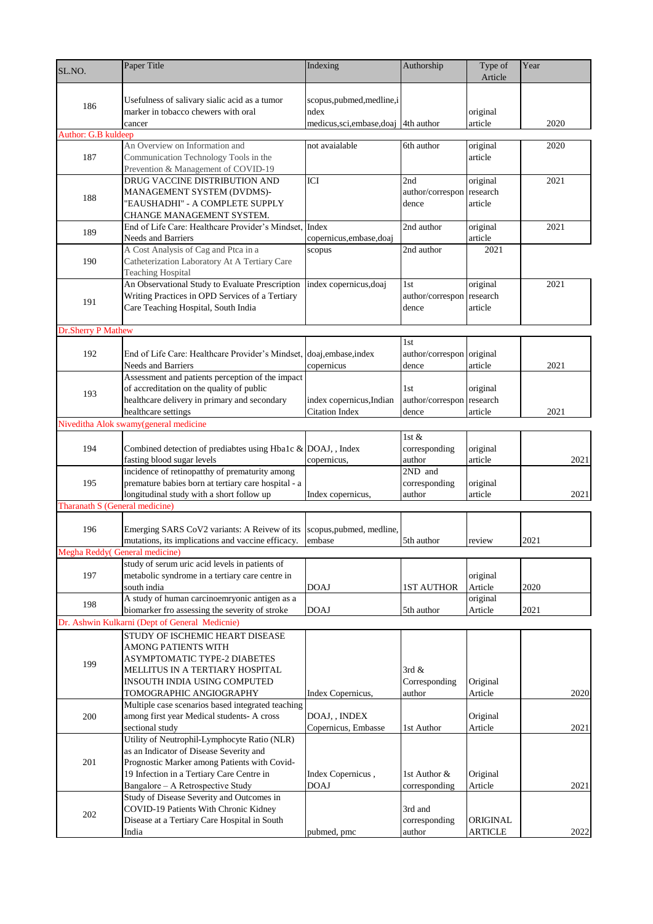| SL.NO.                         | Paper Title                                                                                                                                                                                                               | Indexing                                                                    | Authorship                                | Type of<br>Article         | Year |
|--------------------------------|---------------------------------------------------------------------------------------------------------------------------------------------------------------------------------------------------------------------------|-----------------------------------------------------------------------------|-------------------------------------------|----------------------------|------|
| 186                            | Usefulness of salivary sialic acid as a tumor<br>marker in tobacco chewers with oral<br>cancer                                                                                                                            | scopus, pubmed, medline, i<br>ndex<br>medicus, sci, embase, doaj 4th author |                                           | original<br>article        | 2020 |
| Author: G.B kuldeep            |                                                                                                                                                                                                                           |                                                                             |                                           |                            |      |
| 187                            | An Overview on Information and<br>Communication Technology Tools in the<br>Prevention & Management of COVID-19                                                                                                            | not avaialable                                                              | 6th author                                | original<br>article        | 2020 |
| 188                            | DRUG VACCINE DISTRIBUTION AND<br>MANAGEMENT SYSTEM (DVDMS)-<br>"EAUSHADHI" - A COMPLETE SUPPLY<br>CHANGE MANAGEMENT SYSTEM.                                                                                               | <b>ICI</b>                                                                  | 2nd<br>author/correspon research<br>dence | original<br>article        | 2021 |
| 189                            | End of Life Care: Healthcare Provider's Mindset, Index<br><b>Needs and Barriers</b>                                                                                                                                       | copernicus, embase, doaj                                                    | 2nd author                                | original<br>article        | 2021 |
| 190                            | A Cost Analysis of Cag and Ptca in a<br>Catheterization Laboratory At A Tertiary Care<br>Teaching Hospital                                                                                                                | scopus                                                                      | 2nd author                                | 2021                       |      |
| 191                            | An Observational Study to Evaluate Prescription<br>Writing Practices in OPD Services of a Tertiary<br>Care Teaching Hospital, South India                                                                                 | index copernicus, doaj                                                      | 1st<br>author/correspon research<br>dence | original<br>article        | 2021 |
| Dr.Sherry P Mathew             |                                                                                                                                                                                                                           |                                                                             |                                           |                            |      |
| 192                            | End of Life Care: Healthcare Provider's Mindset, doaj, embase, index<br>Needs and Barriers                                                                                                                                | copernicus                                                                  | 1st<br>author/correspon original<br>dence | article                    | 2021 |
| 193                            | Assessment and patients perception of the impact<br>of accreditation on the quality of public<br>healthcare delivery in primary and secondary<br>healthcare settings                                                      | index copernicus, Indian<br><b>Citation Index</b>                           | 1st<br>author/correspon research<br>dence | original<br>article        | 2021 |
|                                | Niveditha Alok swamy(general medicine                                                                                                                                                                                     |                                                                             |                                           |                            |      |
| 194                            | Combined detection of prediabtes using Hba1c & DOAJ, , Index<br>fasting blood sugar levels                                                                                                                                | copernicus,                                                                 | 1st $\&$<br>corresponding<br>author       | original<br>article        | 2021 |
| 195                            | incidence of retinopatthy of prematurity among<br>premature babies born at tertiary care hospital - a<br>longitudinal study with a short follow up                                                                        | Index copernicus,                                                           | 2ND and<br>corresponding<br>author        | original<br>article        | 2021 |
| Tharanath S (General medicine) |                                                                                                                                                                                                                           |                                                                             |                                           |                            |      |
| 196                            | Emerging SARS CoV2 variants: A Reivew of its<br>mutations, its implications and vaccine efficacy.                                                                                                                         | scopus, pubmed, medline,<br>embase                                          | 5th author                                | review                     | 2021 |
| Megha Reddy (General medicine) |                                                                                                                                                                                                                           |                                                                             |                                           |                            |      |
| 197                            | study of serum uric acid levels in patients of                                                                                                                                                                            |                                                                             |                                           |                            |      |
|                                | metabolic syndrome in a tertiary care centre in<br>south india                                                                                                                                                            | <b>DOAJ</b>                                                                 | <b>1ST AUTHOR</b>                         | original<br>Article        | 2020 |
| 198                            | A study of human carcinoemryonic antigen as a<br>biomarker fro assessing the severity of stroke                                                                                                                           | <b>DOAJ</b>                                                                 | 5th author                                | original<br>Article        | 2021 |
|                                | Dr. Ashwin Kulkarni (Dept of General Medicnie)                                                                                                                                                                            |                                                                             |                                           |                            |      |
| 199                            | STUDY OF ISCHEMIC HEART DISEASE<br>AMONG PATIENTS WITH<br>ASYMPTOMATIC TYPE-2 DIABETES<br>MELLITUS IN A TERTIARY HOSPITAL<br><b>INSOUTH INDIA USING COMPUTED</b><br>TOMOGRAPHIC ANGIOGRAPHY                               | Index Copernicus,                                                           | 3rd $&$<br>Corresponding<br>author        | Original<br>Article        | 2020 |
| 200                            | Multiple case scenarios based integrated teaching<br>among first year Medical students- A cross<br>sectional study                                                                                                        | DOAJ,, INDEX<br>Copernicus, Embasse                                         | 1st Author                                | Original<br>Article        | 2021 |
| 201                            | Utility of Neutrophil-Lymphocyte Ratio (NLR)<br>as an Indicator of Disease Severity and<br>Prognostic Marker among Patients with Covid-<br>19 Infection in a Tertiary Care Centre in<br>Bangalore - A Retrospective Study | Index Copernicus,<br><b>DOAJ</b>                                            | 1st Author &<br>corresponding             | Original<br>Article        | 2021 |
| 202                            | Study of Disease Severity and Outcomes in<br>COVID-19 Patients With Chronic Kidney<br>Disease at a Tertiary Care Hospital in South<br>India                                                                               | pubmed, pmc                                                                 | 3rd and<br>corresponding<br>author        | ORIGINAL<br><b>ARTICLE</b> | 2022 |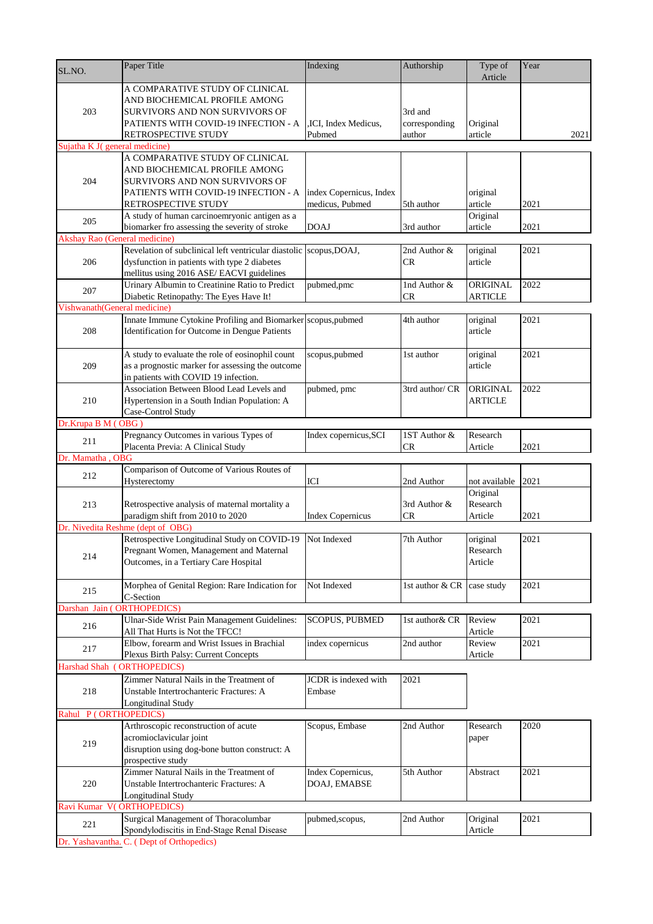| SL.NO.                        | Paper Title                                                                              | Indexing                | Authorship      | Type of                   | Year |
|-------------------------------|------------------------------------------------------------------------------------------|-------------------------|-----------------|---------------------------|------|
|                               |                                                                                          |                         |                 | Article                   |      |
|                               | A COMPARATIVE STUDY OF CLINICAL                                                          |                         |                 |                           |      |
| 203                           | AND BIOCHEMICAL PROFILE AMONG<br>SURVIVORS AND NON SURVIVORS OF                          |                         | 3rd and         |                           |      |
|                               | PATIENTS WITH COVID-19 INFECTION - A                                                     | ,ICI, Index Medicus,    | corresponding   | Original                  |      |
|                               | RETROSPECTIVE STUDY                                                                      | Pubmed                  | author          | article                   | 2021 |
| Sujatha K J(general medicine) |                                                                                          |                         |                 |                           |      |
|                               | A COMPARATIVE STUDY OF CLINICAL                                                          |                         |                 |                           |      |
|                               | AND BIOCHEMICAL PROFILE AMONG                                                            |                         |                 |                           |      |
| 204                           | SURVIVORS AND NON SURVIVORS OF                                                           |                         |                 |                           |      |
|                               | PATIENTS WITH COVID-19 INFECTION - A                                                     | index Copernicus, Index |                 | original                  |      |
|                               | RETROSPECTIVE STUDY                                                                      | medicus, Pubmed         | 5th author      | article                   | 2021 |
| 205                           | A study of human carcinoemryonic antigen as a                                            |                         |                 | Original                  |      |
| Akshay Rao (General medicine) | biomarker fro assessing the severity of stroke                                           | <b>DOAJ</b>             | 3rd author      | article                   | 2021 |
|                               | Revelation of subclinical left ventricular diastolic                                     | scopus, DOAJ,           | 2nd Author &    | original                  | 2021 |
| 206                           | dysfunction in patients with type 2 diabetes                                             |                         | CR              | article                   |      |
|                               | mellitus using 2016 ASE/ EACVI guidelines                                                |                         |                 |                           |      |
|                               | Urinary Albumin to Creatinine Ratio to Predict                                           | pubmed,pmc              | 1nd Author &    | ORIGINAL                  | 2022 |
| 207                           | Diabetic Retinopathy: The Eyes Have It!                                                  |                         | CR              | <b>ARTICLE</b>            |      |
| Vishwanath(General medicine)  |                                                                                          |                         |                 |                           |      |
|                               | Innate Immune Cytokine Profiling and Biomarker scopus, pubmed                            |                         | 4th author      | original                  | 2021 |
| 208                           | Identification for Outcome in Dengue Patients                                            |                         |                 | article                   |      |
|                               |                                                                                          |                         |                 |                           |      |
|                               | A study to evaluate the role of eosinophil count                                         | scopus, pubmed          | 1st author      | original                  | 2021 |
| 209                           | as a prognostic marker for assessing the outcome<br>in patients with COVID 19 infection. |                         |                 | article                   |      |
|                               | Association Between Blood Lead Levels and                                                | pubmed, pmc             | 3trd author/ CR | ORIGINAL                  | 2022 |
| 210                           | Hypertension in a South Indian Population: A                                             |                         |                 | <b>ARTICLE</b>            |      |
|                               | Case-Control Study                                                                       |                         |                 |                           |      |
| Dr.Krupa BM (OBG)             |                                                                                          |                         |                 |                           |      |
| 211                           | Pregnancy Outcomes in various Types of                                                   | Index copernicus, SCI   | 1ST Author &    | Research                  |      |
|                               | Placenta Previa: A Clinical Study                                                        |                         | CR              | Article                   | 2021 |
| Dr. Mamatha, OBG              |                                                                                          |                         |                 |                           |      |
| 212                           | Comparison of Outcome of Various Routes of                                               | <b>ICI</b>              |                 |                           |      |
|                               | Hysterectomy                                                                             |                         | 2nd Author      | not available<br>Original | 2021 |
| 213                           |                                                                                          |                         | 3rd Author &    | Research                  |      |
|                               |                                                                                          |                         |                 |                           |      |
|                               | Retrospective analysis of maternal mortality a                                           |                         |                 |                           |      |
|                               | paradigm shift from 2010 to 2020<br>Dr. Nivedita Reshme (dept of OBG)                    | <b>Index Copernicus</b> | CR              | Article                   | 2021 |
|                               | Retrospective Longitudinal Study on COVID-19                                             | Not Indexed             | 7th Author      | original                  | 2021 |
|                               | Pregnant Women, Management and Maternal                                                  |                         |                 | Research                  |      |
| 214                           | Outcomes, in a Tertiary Care Hospital                                                    |                         |                 | Article                   |      |
|                               |                                                                                          |                         |                 |                           |      |
| 215                           | Morphea of Genital Region: Rare Indication for                                           | Not Indexed             | 1st author & CR | case study                | 2021 |
|                               | C-Section                                                                                |                         |                 |                           |      |
| Darshan Jain (ORTHOPEDICS)    |                                                                                          |                         |                 |                           |      |
| 216                           | Ulnar-Side Wrist Pain Management Guidelines:                                             | <b>SCOPUS, PUBMED</b>   | 1st author& CR  | Review                    | 2021 |
|                               | All That Hurts is Not the TFCC!<br>Elbow, forearm and Wrist Issues in Brachial           | index copernicus        | 2nd author      | Article<br>Review         | 2021 |
| 217                           | Plexus Birth Palsy: Current Concepts                                                     |                         |                 | Article                   |      |
| Harshad Shah (ORTHOPEDICS)    |                                                                                          |                         |                 |                           |      |
|                               | Zimmer Natural Nails in the Treatment of                                                 | JCDR is indexed with    | 2021            |                           |      |
| 218                           | Unstable Intertrochanteric Fractures: A                                                  | Embase                  |                 |                           |      |
|                               | Longitudinal Study                                                                       |                         |                 |                           |      |
| Rahul                         | P (ORTHOPEDICS)                                                                          |                         |                 |                           |      |
|                               | Arthroscopic reconstruction of acute                                                     | Scopus, Embase          | 2nd Author      | Research                  | 2020 |
| 219                           | acromioclavicular joint                                                                  |                         |                 | paper                     |      |
|                               | disruption using dog-bone button construct: A                                            |                         |                 |                           |      |
|                               | prospective study                                                                        |                         |                 |                           |      |
| 220                           | Zimmer Natural Nails in the Treatment of                                                 | Index Copernicus,       | 5th Author      | Abstract                  | 2021 |
|                               | Unstable Intertrochanteric Fractures: A<br><b>Longitudinal Study</b>                     | DOAJ, EMABSE            |                 |                           |      |
| Ravi Kumar                    | V(ORTHOPEDICS)                                                                           |                         |                 |                           |      |
|                               | Surgical Management of Thoracolumbar                                                     | pubmed, scopus,         | 2nd Author      | Original                  | 2021 |
| 221                           | Spondylodiscitis in End-Stage Renal Disease<br>Dr. Yashavantha. C. (Dept of Orthopedics) |                         |                 | Article                   |      |